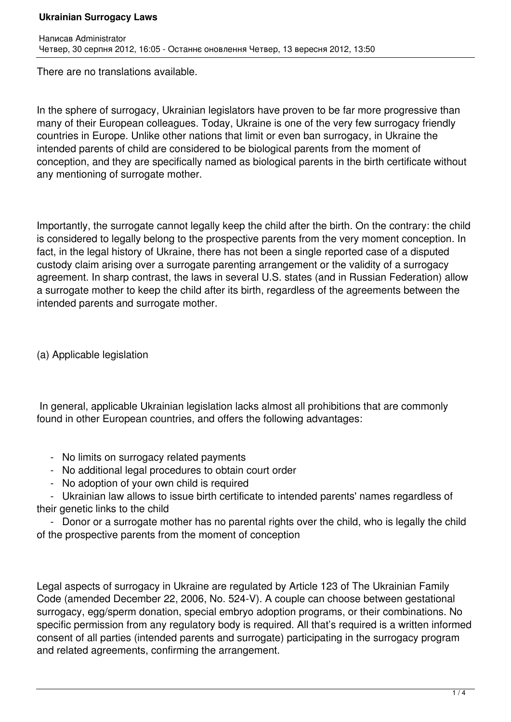There are no translations available.

In the sphere of surrogacy, Ukrainian legislators have proven to be far more progressive than many of their European colleagues. Today, Ukraine is one of the very few surrogacy friendly countries in Europe. Unlike other nations that limit or even ban surrogacy, in Ukraine the intended parents of child are considered to be biological parents from the moment of conception, and they are specifically named as biological parents in the birth certificate without any mentioning of surrogate mother.

Importantly, the surrogate cannot legally keep the child after the birth. On the contrary: the child is considered to legally belong to the prospective parents from the very moment conception. In fact, in the legal history of Ukraine, there has not been a single reported case of a disputed custody claim arising over a surrogate parenting arrangement or the validity of a surrogacy agreement. In sharp contrast, the laws in several U.S. states (and in Russian Federation) allow a surrogate mother to keep the child after its birth, regardless of the agreements between the intended parents and surrogate mother.

(a) Applicable legislation

 In general, applicable Ukrainian legislation lacks almost all prohibitions that are commonly found in other European countries, and offers the following advantages:

- No limits on surrogacy related payments
- No additional legal procedures to obtain court order
- No adoption of your own child is required

 - Ukrainian law allows to issue birth certificate to intended parents' names regardless of their genetic links to the child

 - Donor or a surrogate mother has no parental rights over the child, who is legally the child of the prospective parents from the moment of conception

Legal aspects of surrogacy in Ukraine are regulated by Article 123 of The Ukrainian Family Code (amended December 22, 2006, No. 524-V). A couple can choose between gestational surrogacy, egg/sperm donation, special embryo adoption programs, or their combinations. No specific permission from any requiatory body is required. All that's required is a written informed consent of all parties (intended parents and surrogate) participating in the surrogacy program and related agreements, confirming the arrangement.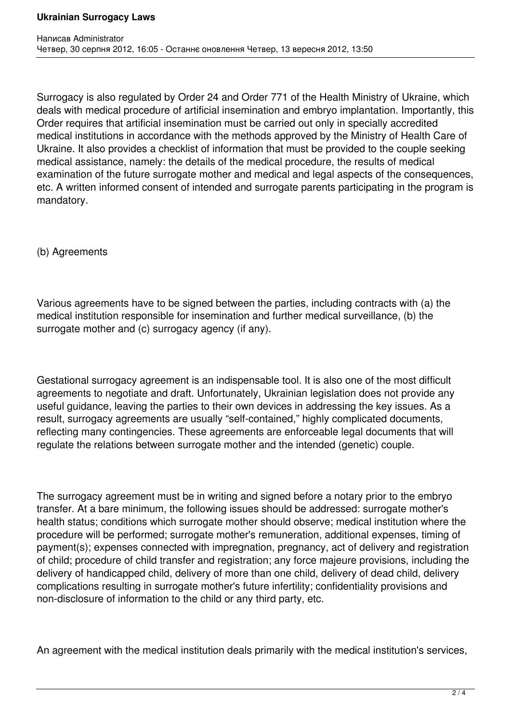Surrogacy is also regulated by Order 24 and Order 771 of the Health Ministry of Ukraine, which deals with medical procedure of artificial insemination and embryo implantation. Importantly, this Order requires that artificial insemination must be carried out only in specially accredited medical institutions in accordance with the methods approved by the Ministry of Health Care of Ukraine. It also provides a checklist of information that must be provided to the couple seeking medical assistance, namely: the details of the medical procedure, the results of medical examination of the future surrogate mother and medical and legal aspects of the consequences, etc. A written informed consent of intended and surrogate parents participating in the program is mandatory.

(b) Agreements

Various agreements have to be signed between the parties, including contracts with (a) the medical institution responsible for insemination and further medical surveillance, (b) the surrogate mother and (c) surrogacy agency (if any).

Gestational surrogacy agreement is an indispensable tool. It is also one of the most difficult agreements to negotiate and draft. Unfortunately, Ukrainian legislation does not provide any useful guidance, leaving the parties to their own devices in addressing the key issues. As a result, surrogacy agreements are usually "self-contained," highly complicated documents, reflecting many contingencies. These agreements are enforceable legal documents that will regulate the relations between surrogate mother and the intended (genetic) couple.

The surrogacy agreement must be in writing and signed before a notary prior to the embryo transfer. At a bare minimum, the following issues should be addressed: surrogate mother's health status; conditions which surrogate mother should observe; medical institution where the procedure will be performed; surrogate mother's remuneration, additional expenses, timing of payment(s); expenses connected with impregnation, pregnancy, act of delivery and registration of child; procedure of child transfer and registration; any force majeure provisions, including the delivery of handicapped child, delivery of more than one child, delivery of dead child, delivery complications resulting in surrogate mother's future infertility; confidentiality provisions and non-disclosure of information to the child or any third party, etc.

An agreement with the medical institution deals primarily with the medical institution's services,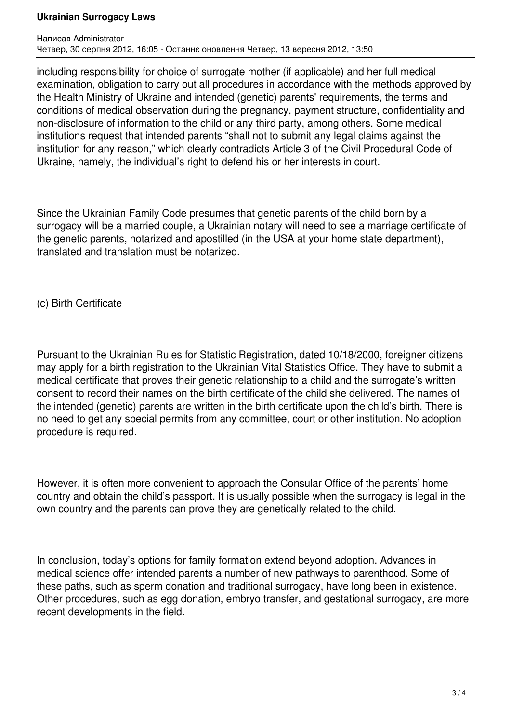including responsibility for choice of surrogate mother (if applicable) and her full medical examination, obligation to carry out all procedures in accordance with the methods approved by the Health Ministry of Ukraine and intended (genetic) parents' requirements, the terms and conditions of medical observation during the pregnancy, payment structure, confidentiality and non-disclosure of information to the child or any third party, among others. Some medical institutions request that intended parents "shall not to submit any legal claims against the institution for any reason," which clearly contradicts Article 3 of the Civil Procedural Code of Ukraine, namely, the individual's right to defend his or her interests in court.

Since the Ukrainian Family Code presumes that genetic parents of the child born by a surrogacy will be a married couple, a Ukrainian notary will need to see a marriage certificate of the genetic parents, notarized and apostilled (in the USA at your home state department), translated and translation must be notarized.

(c) Birth Certificate

Pursuant to the Ukrainian Rules for Statistic Registration, dated 10/18/2000, foreigner citizens may apply for a birth registration to the Ukrainian Vital Statistics Office. They have to submit a medical certificate that proves their genetic relationship to a child and the surrogate's written consent to record their names on the birth certificate of the child she delivered. The names of the intended (genetic) parents are written in the birth certificate upon the child's birth. There is no need to get any special permits from any committee, court or other institution. No adoption procedure is required.

However, it is often more convenient to approach the Consular Office of the parents' home country and obtain the child's passport. It is usually possible when the surrogacy is legal in the own country and the parents can prove they are genetically related to the child.

In conclusion, today's options for family formation extend beyond adoption. Advances in medical science offer intended parents a number of new pathways to parenthood. Some of these paths, such as sperm donation and traditional surrogacy, have long been in existence. Other procedures, such as egg donation, embryo transfer, and gestational surrogacy, are more recent developments in the field.